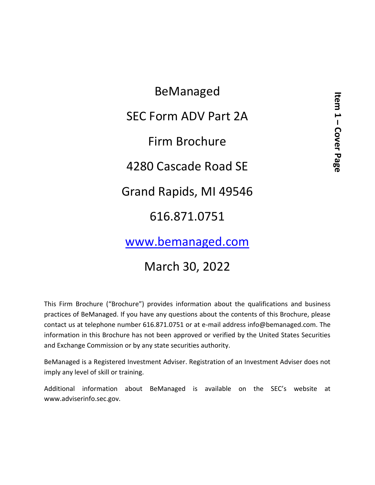BeManaged SEC Form ADV Part 2A Firm Brochure 4280 Cascade Road SE Grand Rapids, MI 49546 616.871.0751

[www.bemanaged.com](http://www.bemanaged.com/)

## March 30, 2022

This Firm Brochure ("Brochure") provides information about the qualifications and business practices of BeManaged. If you have any questions about the contents of this Brochure, please contact us at telephone number 616.871.0751 or at e-mail address info@bemanaged.com. The information in this Brochure has not been approved or verified by the United States Securities and Exchange Commission or by any state securities authority.

BeManaged is a Registered Investment Adviser. Registration of an Investment Adviser does not imply any level of skill or training.

Additional information about BeManaged is available on the SEC's website at www.adviserinfo.sec.gov.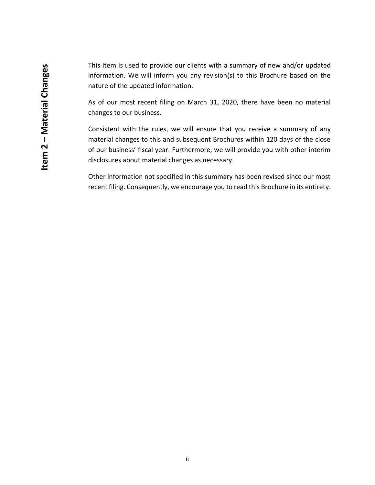This Item is used to provide our clients with a summary of new and/or updated information. We will inform you any revision(s) to this Brochure based on the nature of the updated information.

As of our most recent filing on March 31, 2020, there have been no material changes to our business.

Consistent with the rules, we will ensure that you receive a summary of any material changes to this and subsequent Brochures within 120 days of the close of our business' fiscal year. Furthermore, we will provide you with other interim disclosures about material changes as necessary.

Other information not specified in this summary has been revised since our most recent filing. Consequently, we encourage you to read this Brochure in its entirety.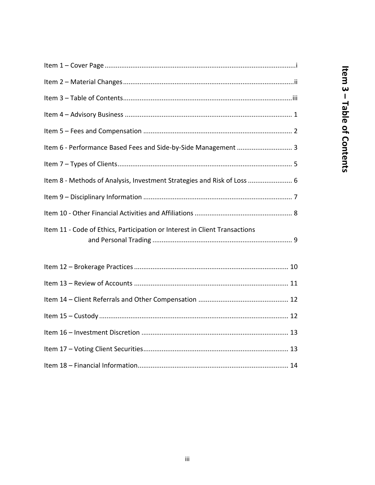| Item 6 - Performance Based Fees and Side-by-Side Management  3             |
|----------------------------------------------------------------------------|
|                                                                            |
| Item 8 - Methods of Analysis, Investment Strategies and Risk of Loss  6    |
|                                                                            |
|                                                                            |
| Item 11 - Code of Ethics, Participation or Interest in Client Transactions |
|                                                                            |
|                                                                            |
|                                                                            |
|                                                                            |
|                                                                            |
|                                                                            |
|                                                                            |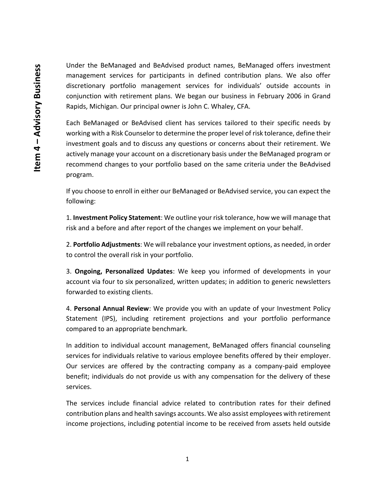Under the BeManaged and BeAdvised product names, BeManaged offers investment management services for participants in defined contribution plans. We also offer discretionary portfolio management services for individuals' outside accounts in conjunction with retirement plans. We began our business in February 2006 in Grand Rapids, Michigan. Our principal owner is John C. Whaley, CFA.

Each BeManaged or BeAdvised client has services tailored to their specific needs by working with a Risk Counselor to determine the proper level of risk tolerance, define their investment goals and to discuss any questions or concerns about their retirement. We actively manage your account on a discretionary basis under the BeManaged program or recommend changes to your portfolio based on the same criteria under the BeAdvised program.

If you choose to enroll in either our BeManaged or BeAdvised service, you can expect the following:

1. **Investment Policy Statement**: We outline your risk tolerance, how we will manage that risk and a before and after report of the changes we implement on your behalf.

2. **Portfolio Adjustments**: We will rebalance your investment options, as needed, in order to control the overall risk in your portfolio.

3. **Ongoing, Personalized Updates**: We keep you informed of developments in your account via four to six personalized, written updates; in addition to generic newsletters forwarded to existing clients.

4. **Personal Annual Review**: We provide you with an update of your Investment Policy Statement (IPS), including retirement projections and your portfolio performance compared to an appropriate benchmark.

In addition to individual account management, BeManaged offers financial counseling services for individuals relative to various employee benefits offered by their employer. Our services are offered by the contracting company as a company-paid employee benefit; individuals do not provide us with any compensation for the delivery of these services.

The services include financial advice related to contribution rates for their defined contribution plans and health savings accounts. We also assist employees with retirement income projections, including potential income to be received from assets held outside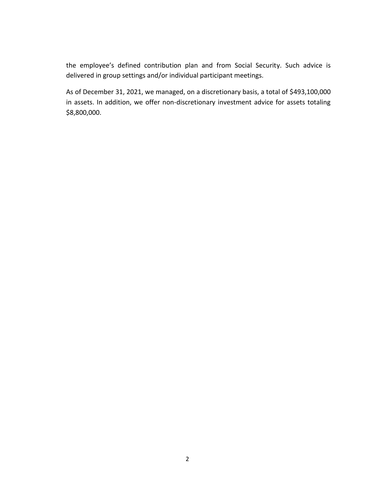the employee's defined contribution plan and from Social Security. Such advice is delivered in group settings and/or individual participant meetings.

As of December 31, 2021, we managed, on a discretionary basis, a total of \$493,100,000 in assets. In addition, we offer non-discretionary investment advice for assets totaling \$8,800,000.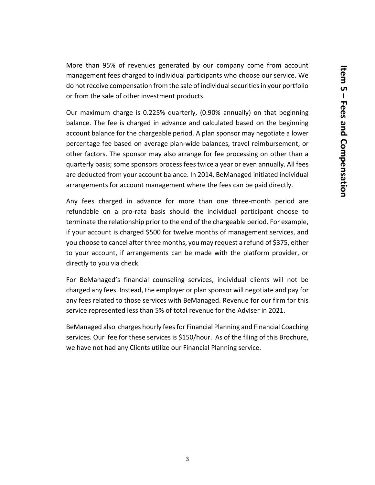More than 95% of revenues generated by our company come from account management fees charged to individual participants who choose our service. We do not receive compensation from the sale of individual securities in your portfolio or from the sale of other investment products.

Our maximum charge is 0.225% quarterly, (0.90% annually) on that beginning balance. The fee is charged in advance and calculated based on the beginning account balance for the chargeable period. A plan sponsor may negotiate a lower percentage fee based on average plan-wide balances, travel reimbursement, or other factors. The sponsor may also arrange for fee processing on other than a quarterly basis; some sponsors process fees twice a year or even annually. All fees are deducted from your account balance. In 2014, BeManaged initiated individual arrangements for account management where the fees can be paid directly.

Any fees charged in advance for more than one three-month period are refundable on a pro-rata basis should the individual participant choose to terminate the relationship prior to the end of the chargeable period. For example, if your account is charged \$500 for twelve months of management services, and you choose to cancel after three months, you may request a refund of \$375, either to your account, if arrangements can be made with the platform provider, or directly to you via check.

For BeManaged's financial counseling services, individual clients will not be charged any fees. Instead, the employer or plan sponsor will negotiate and pay for any fees related to those services with BeManaged. Revenue for our firm for this service represented less than 5% of total revenue for the Adviser in 2021.

BeManaged also charges hourly fees for Financial Planning and Financial Coaching services. Our fee for these services is \$150/hour. As of the filing of this Brochure, we have not had any Clients utilize our Financial Planning service.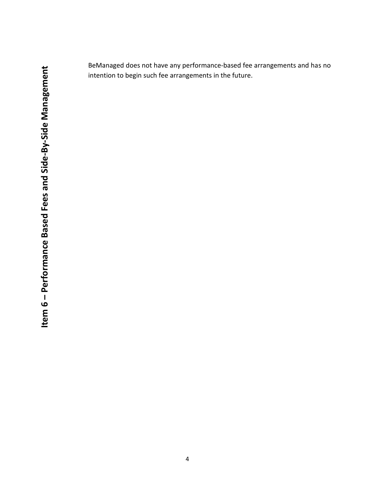BeManaged does not have any performance‐based fee arrangements and has no intention to begin such fee arrangements in the future.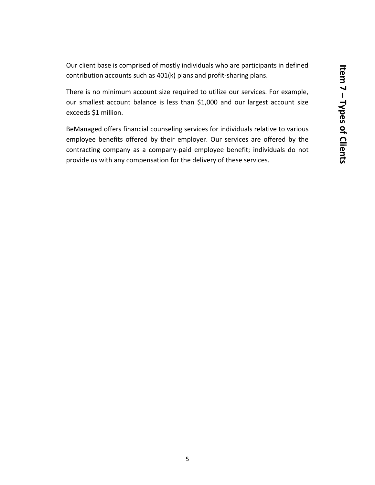Our client base is comprised of mostly individuals who are participants in defined contribution accounts such as 401(k) plans and profit-sharing plans.

There is no minimum account size required to utilize our services. For example, our smallest account balance is less than \$1,000 and our largest account size exceeds \$1 million.

BeManaged offers financial counseling services for individuals relative to various employee benefits offered by their employer. Our services are offered by the contracting company as a company-paid employee benefit; individuals do not provide us with any compensation for the delivery of these services.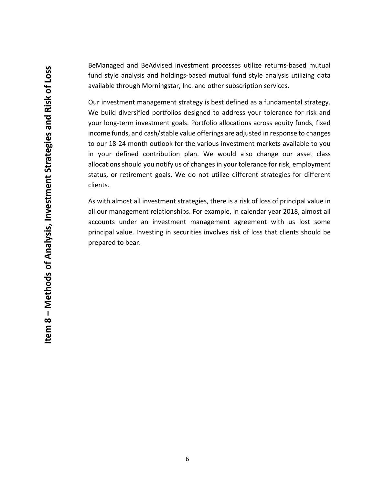BeManaged and BeAdvised investment processes utilize returns‐based mutual fund style analysis and holdings‐based mutual fund style analysis utilizing data available through Morningstar, Inc. and other subscription services.

Our investment management strategy is best defined as a fundamental strategy. We build diversified portfolios designed to address your tolerance for risk and your long-term investment goals. Portfolio allocations across equity funds, fixed income funds, and cash/stable value offerings are adjusted in response to changes to our 18‐24 month outlook for the various investment markets available to you in your defined contribution plan. We would also change our asset class allocations should you notify us of changes in your tolerance for risk, employment status, or retirement goals. We do not utilize different strategies for different clients.

As with almost all investment strategies, there is a risk of loss of principal value in all our management relationships. For example, in calendar year 2018, almost all accounts under an investment management agreement with us lost some principal value. Investing in securities involves risk of loss that clients should be prepared to bear.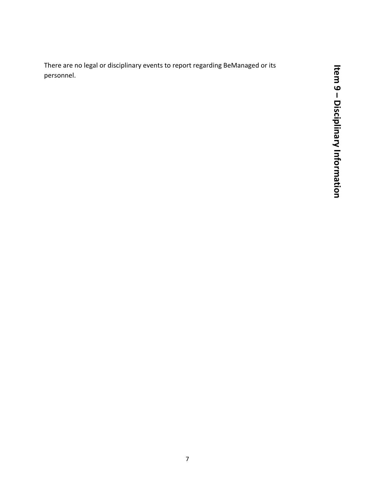There are no legal or disciplinary events to report regarding BeManaged or its personnel.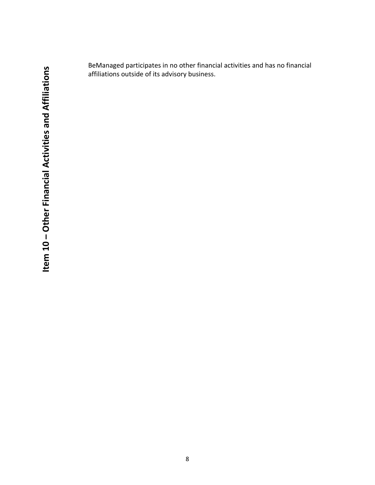BeManaged participates in no other financial activities and has no financial affiliations outside of its advisory business.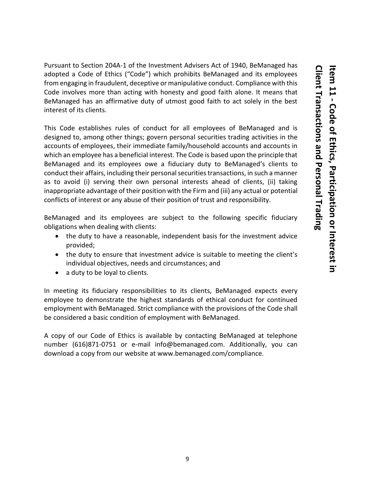Pursuant to Section 204A-1 of the Investment Advisers Act of 1940, BeManaged has adopted a Code of Ethics ("Code") which prohibits BeManaged and its employees from engaging in fraudulent, deceptive or manipulative conduct. Compliance with this Code involves more than acting with honesty and good faith alone. It means that BeManaged has an affirmative duty of utmost good faith to act solely in the best interest of its clients.

This Code establishes rules of conduct for all employees of BeManaged and is designed to, among other things; govern personal securities trading activities in the accounts of employees, their immediate family/household accounts and accounts in which an employee has a beneficial interest. The Code is based upon the principle that BeManaged and its employees owe a fiduciary duty to BeManaged's clients to conduct their affairs, including their personal securities transactions, in such a manner as to avoid (i) serving their own personal interests ahead of clients, (ii) taking inappropriate advantage of their position with the Firm and (iii) any actual or potential conflicts of interest or any abuse of their position of trust and responsibility.

BeManaged and its employees are subject to the following specific fiduciary obligations when dealing with clients:

- the duty to have a reasonable, independent basis for the investment advice provided;
- the duty to ensure that investment advice is suitable to meeting the client's individual objectives, needs and circumstances; and
- a duty to be loyal to clients.

In meeting its fiduciary responsibilities to its clients, BeManaged expects every employee to demonstrate the highest standards of ethical conduct for continued employment with BeManaged. Strict compliance with the provisions of the Code shall be considered a basic condition of employment with BeManaged.

A copy of our Code of Ethics is available by contacting BeManaged at telephone number (616)871-0751 or e-mail info@bemanaged.com. Additionally, you can download a copy from our website at www.bemanaged.com/compliance.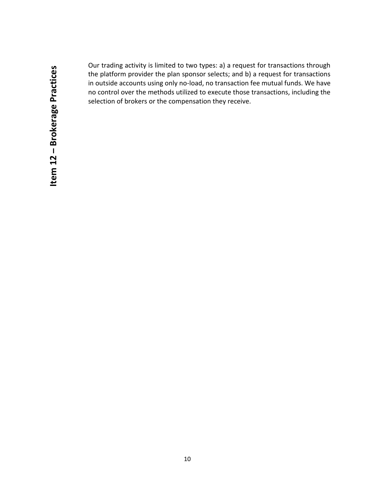Our trading activity is limited to two types: a) a request for transactions through the platform provider the plan sponsor selects; and b) a request for transactions in outside accounts using only no-load, no transaction fee mutual funds. We have no control over the methods utilized to execute those transactions, including the selection of brokers or the compensation they receive.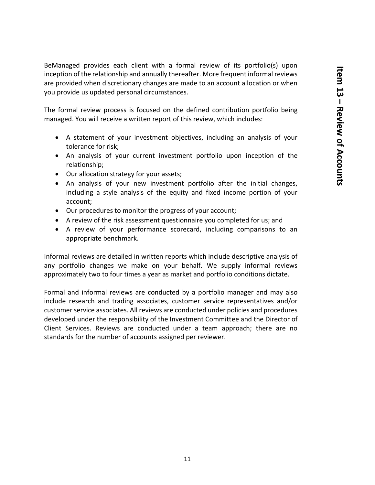BeManaged provides each client with a formal review of its portfolio(s) upon inception of the relationship and annually thereafter. More frequent informal reviews are provided when discretionary changes are made to an account allocation or when you provide us updated personal circumstances.

The formal review process is focused on the defined contribution portfolio being managed. You will receive a written report of this review, which includes:

- A statement of your investment objectives, including an analysis of your tolerance for risk;
- An analysis of your current investment portfolio upon inception of the relationship;
- Our allocation strategy for your assets;
- An analysis of your new investment portfolio after the initial changes, including a style analysis of the equity and fixed income portion of your account;
- Our procedures to monitor the progress of your account;
- A review of the risk assessment questionnaire you completed for us; and
- A review of your performance scorecard, including comparisons to an appropriate benchmark.

Informal reviews are detailed in written reports which include descriptive analysis of any portfolio changes we make on your behalf. We supply informal reviews approximately two to four times a year as market and portfolio conditions dictate.

Formal and informal reviews are conducted by a portfolio manager and may also include research and trading associates, customer service representatives and/or customer service associates. All reviews are conducted under policies and procedures developed under the responsibility of the Investment Committee and the Director of Client Services. Reviews are conducted under a team approach; there are no standards for the number of accounts assigned per reviewer.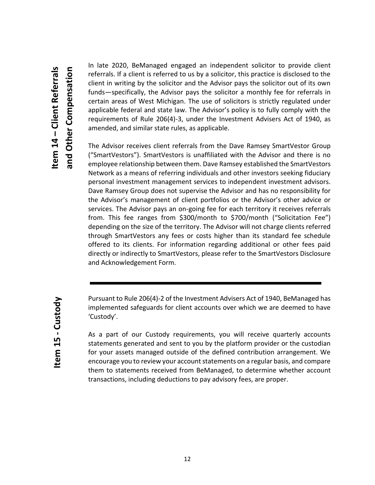In late 2020, BeManaged engaged an independent solicitor to provide client referrals. If a client is referred to us by a solicitor, this practice is disclosed to the client in writing by the solicitor and the Advisor pays the solicitor out of its own funds—specifically, the Advisor pays the solicitor a monthly fee for referrals in certain areas of West Michigan. The use of solicitors is strictly regulated under applicable federal and state law. The Advisor's policy is to fully comply with the requirements of Rule 206(4)-3, under the Investment Advisers Act of 1940, as amended, and similar state rules, as applicable.

The Advisor receives client referrals from the Dave Ramsey SmartVestor Group ("SmartVestors"). SmartVestors is unaffiliated with the Advisor and there is no employee relationship between them. Dave Ramsey established the SmartVestors Network as a means of referring individuals and other investors seeking fiduciary personal investment management services to independent investment advisors. Dave Ramsey Group does not supervise the Advisor and has no responsibility for the Advisor's management of client portfolios or the Advisor's other advice or services. The Advisor pays an on-going fee for each territory it receives referrals from. This fee ranges from \$300/month to \$700/month ("Solicitation Fee") depending on the size of the territory. The Advisor will not charge clients referred through SmartVestors any fees or costs higher than its standard fee schedule offered to its clients. For information regarding additional or other fees paid directly or indirectly to SmartVestors, please refer to the SmartVestors Disclosure and Acknowledgement Form.

Pursuant to Rule 206(4)-2 of the Investment Advisers Act of 1940, BeManaged has implemented safeguards for client accounts over which we are deemed to have 'Custody'.

As a part of our Custody requirements, you will receive quarterly accounts statements generated and sent to you by the platform provider or the custodian for your assets managed outside of the defined contribution arrangement. We encourage you to review your account statements on a regular basis, and compare them to statements received from BeManaged, to determine whether account transactions, including deductions to pay advisory fees, are proper.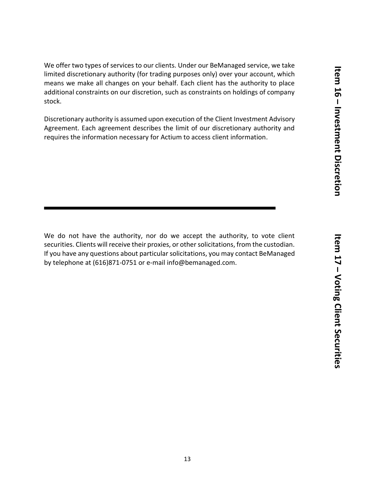**Item 16 Ltem 16 – Investment Discretion Investment Discretion**

We offer two types of services to our clients. Under our BeManaged service, we take limited discretionary authority (for trading purposes only) over your account, which means we make all changes on your behalf. Each client has the authority to place additional constraints on our discretion, such as constraints on holdings of company stock.

Discretionary authority is assumed upon execution of the Client Investment Advisory Agreement. Each agreement describes the limit of our discretionary authority and requires the information necessary for Actium to access client information.

We do not have the authority, nor do we accept the authority, to vote client securities. Clients will receive their proxies, or other solicitations, from the custodian. If you have any questions about particular solicitations, you may contact BeManaged by telephone at (616)871-0751 or e-mail info@bemanaged.com.